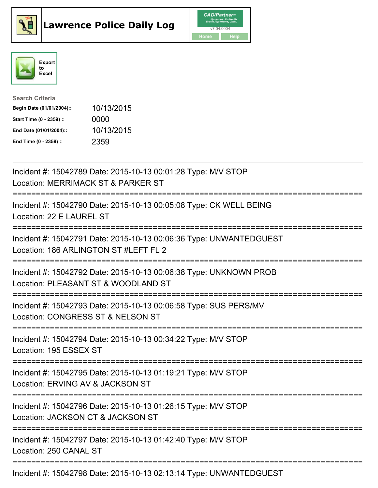





| <b>Search Criteria</b>    |            |
|---------------------------|------------|
| Begin Date (01/01/2004):: | 10/13/2015 |
| Start Time (0 - 2359) ::  | 0000       |
| End Date (01/01/2004)::   | 10/13/2015 |
| End Time (0 - 2359) ::    | 2359       |

| Incident #: 15042789 Date: 2015-10-13 00:01:28 Type: M/V STOP<br>Location: MERRIMACK ST & PARKER ST                                      |
|------------------------------------------------------------------------------------------------------------------------------------------|
| Incident #: 15042790 Date: 2015-10-13 00:05:08 Type: CK WELL BEING<br>Location: 22 E LAUREL ST                                           |
| Incident #: 15042791 Date: 2015-10-13 00:06:36 Type: UNWANTEDGUEST<br>Location: 186 ARLINGTON ST #LEFT FL 2                              |
| Incident #: 15042792 Date: 2015-10-13 00:06:38 Type: UNKNOWN PROB<br>Location: PLEASANT ST & WOODLAND ST<br>============================ |
| Incident #: 15042793 Date: 2015-10-13 00:06:58 Type: SUS PERS/MV<br>Location: CONGRESS ST & NELSON ST<br>---------------------------     |
| Incident #: 15042794 Date: 2015-10-13 00:34:22 Type: M/V STOP<br>Location: 195 ESSEX ST                                                  |
| Incident #: 15042795 Date: 2015-10-13 01:19:21 Type: M/V STOP<br>Location: ERVING AV & JACKSON ST<br>=============================       |
| Incident #: 15042796 Date: 2015-10-13 01:26:15 Type: M/V STOP<br>Location: JACKSON CT & JACKSON ST                                       |
| Incident #: 15042797 Date: 2015-10-13 01:42:40 Type: M/V STOP<br>Location: 250 CANAL ST                                                  |
| Incident #: 15042798 Date: 2015-10-13 02:13:14 Type: UNWANTEDGUEST                                                                       |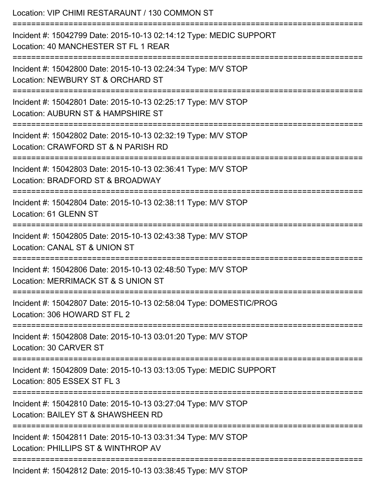| Location: VIP CHIMI RESTARAUNT / 130 COMMON ST                                                                                       |
|--------------------------------------------------------------------------------------------------------------------------------------|
| Incident #: 15042799 Date: 2015-10-13 02:14:12 Type: MEDIC SUPPORT<br>Location: 40 MANCHESTER ST FL 1 REAR<br>---------------------- |
| Incident #: 15042800 Date: 2015-10-13 02:24:34 Type: M/V STOP<br>Location: NEWBURY ST & ORCHARD ST                                   |
| Incident #: 15042801 Date: 2015-10-13 02:25:17 Type: M/V STOP<br>Location: AUBURN ST & HAMPSHIRE ST                                  |
| Incident #: 15042802 Date: 2015-10-13 02:32:19 Type: M/V STOP<br>Location: CRAWFORD ST & N PARISH RD                                 |
| Incident #: 15042803 Date: 2015-10-13 02:36:41 Type: M/V STOP<br>Location: BRADFORD ST & BROADWAY                                    |
| Incident #: 15042804 Date: 2015-10-13 02:38:11 Type: M/V STOP<br>Location: 61 GLENN ST                                               |
| Incident #: 15042805 Date: 2015-10-13 02:43:38 Type: M/V STOP<br>Location: CANAL ST & UNION ST                                       |
| Incident #: 15042806 Date: 2015-10-13 02:48:50 Type: M/V STOP<br>Location: MERRIMACK ST & S UNION ST                                 |
| Incident #: 15042807 Date: 2015-10-13 02:58:04 Type: DOMESTIC/PROG<br>Location: 306 HOWARD ST FL 2                                   |
| Incident #: 15042808 Date: 2015-10-13 03:01:20 Type: M/V STOP<br>Location: 30 CARVER ST                                              |
| Incident #: 15042809 Date: 2015-10-13 03:13:05 Type: MEDIC SUPPORT<br>Location: 805 ESSEX ST FL 3                                    |
| Incident #: 15042810 Date: 2015-10-13 03:27:04 Type: M/V STOP<br>Location: BAILEY ST & SHAWSHEEN RD                                  |
| Incident #: 15042811 Date: 2015-10-13 03:31:34 Type: M/V STOP<br>Location: PHILLIPS ST & WINTHROP AV                                 |
| Incident #: 15042812 Date: 2015-10-13 03:38:45 Type: M/V STOP                                                                        |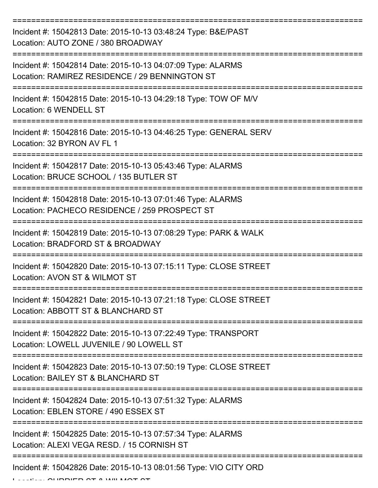| Incident #: 15042813 Date: 2015-10-13 03:48:24 Type: B&E/PAST<br>Location: AUTO ZONE / 380 BROADWAY           |
|---------------------------------------------------------------------------------------------------------------|
| Incident #: 15042814 Date: 2015-10-13 04:07:09 Type: ALARMS<br>Location: RAMIREZ RESIDENCE / 29 BENNINGTON ST |
| Incident #: 15042815 Date: 2015-10-13 04:29:18 Type: TOW OF M/V<br>Location: 6 WENDELL ST                     |
| Incident #: 15042816 Date: 2015-10-13 04:46:25 Type: GENERAL SERV<br>Location: 32 BYRON AV FL 1               |
| Incident #: 15042817 Date: 2015-10-13 05:43:46 Type: ALARMS<br>Location: BRUCE SCHOOL / 135 BUTLER ST         |
| Incident #: 15042818 Date: 2015-10-13 07:01:46 Type: ALARMS<br>Location: PACHECO RESIDENCE / 259 PROSPECT ST  |
| Incident #: 15042819 Date: 2015-10-13 07:08:29 Type: PARK & WALK<br>Location: BRADFORD ST & BROADWAY          |
| Incident #: 15042820 Date: 2015-10-13 07:15:11 Type: CLOSE STREET<br>Location: AVON ST & WILMOT ST            |
| Incident #: 15042821 Date: 2015-10-13 07:21:18 Type: CLOSE STREET<br>Location: ABBOTT ST & BLANCHARD ST       |
| Incident #: 15042822 Date: 2015-10-13 07:22:49 Type: TRANSPORT<br>Location: LOWELL JUVENILE / 90 LOWELL ST    |
| Incident #: 15042823 Date: 2015-10-13 07:50:19 Type: CLOSE STREET<br>Location: BAILEY ST & BLANCHARD ST       |
| Incident #: 15042824 Date: 2015-10-13 07:51:32 Type: ALARMS<br>Location: EBLEN STORE / 490 ESSEX ST           |
| Incident #: 15042825 Date: 2015-10-13 07:57:34 Type: ALARMS<br>Location: ALEXI VEGA RESD. / 15 CORNISH ST     |
| -----------------------------<br>Incident #: 15042826 Date: 2015-10-13 08:01:56 Type: VIO CITY ORD            |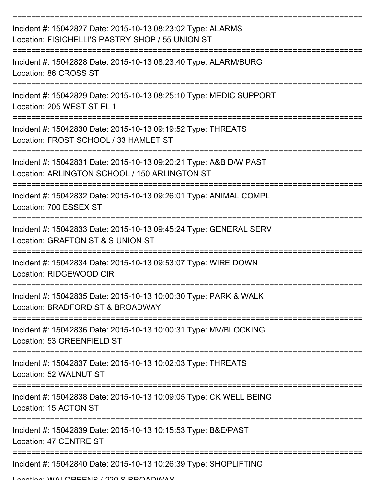| Incident #: 15042827 Date: 2015-10-13 08:23:02 Type: ALARMS<br>Location: FISICHELLI'S PASTRY SHOP / 55 UNION ST    |
|--------------------------------------------------------------------------------------------------------------------|
| Incident #: 15042828 Date: 2015-10-13 08:23:40 Type: ALARM/BURG<br>Location: 86 CROSS ST                           |
| Incident #: 15042829 Date: 2015-10-13 08:25:10 Type: MEDIC SUPPORT<br>Location: 205 WEST ST FL 1                   |
| Incident #: 15042830 Date: 2015-10-13 09:19:52 Type: THREATS<br>Location: FROST SCHOOL / 33 HAMLET ST              |
| Incident #: 15042831 Date: 2015-10-13 09:20:21 Type: A&B D/W PAST<br>Location: ARLINGTON SCHOOL / 150 ARLINGTON ST |
| Incident #: 15042832 Date: 2015-10-13 09:26:01 Type: ANIMAL COMPL<br>Location: 700 ESSEX ST                        |
| Incident #: 15042833 Date: 2015-10-13 09:45:24 Type: GENERAL SERV<br>Location: GRAFTON ST & S UNION ST             |
| Incident #: 15042834 Date: 2015-10-13 09:53:07 Type: WIRE DOWN<br>Location: RIDGEWOOD CIR                          |
| Incident #: 15042835 Date: 2015-10-13 10:00:30 Type: PARK & WALK<br>Location: BRADFORD ST & BROADWAY               |
| Incident #: 15042836 Date: 2015-10-13 10:00:31 Type: MV/BLOCKING<br>Location: 53 GREENFIELD ST                     |
| Incident #: 15042837 Date: 2015-10-13 10:02:03 Type: THREATS<br>Location: 52 WALNUT ST                             |
| Incident #: 15042838 Date: 2015-10-13 10:09:05 Type: CK WELL BEING<br>Location: 15 ACTON ST                        |
| Incident #: 15042839 Date: 2015-10-13 10:15:53 Type: B&E/PAST<br>Location: 47 CENTRE ST                            |
| Incident #: 15042840 Date: 2015-10-13 10:26:39 Type: SHOPLIFTING<br>I anation: WIAI CDEENIC / 220 C DDAANWAV       |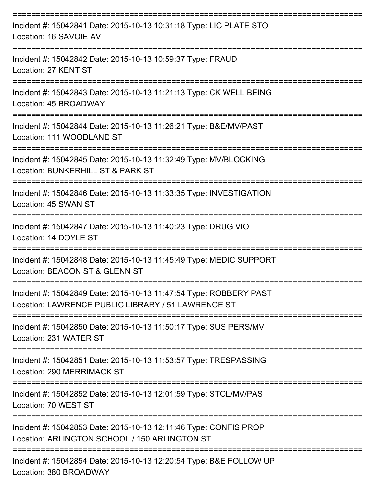| Incident #: 15042841 Date: 2015-10-13 10:31:18 Type: LIC PLATE STO<br>Location: 16 SAVOIE AV                            |
|-------------------------------------------------------------------------------------------------------------------------|
| Incident #: 15042842 Date: 2015-10-13 10:59:37 Type: FRAUD<br>Location: 27 KENT ST                                      |
| Incident #: 15042843 Date: 2015-10-13 11:21:13 Type: CK WELL BEING<br>Location: 45 BROADWAY<br>=====================    |
| Incident #: 15042844 Date: 2015-10-13 11:26:21 Type: B&E/MV/PAST<br>Location: 111 WOODLAND ST                           |
| Incident #: 15042845 Date: 2015-10-13 11:32:49 Type: MV/BLOCKING<br>Location: BUNKERHILL ST & PARK ST                   |
| Incident #: 15042846 Date: 2015-10-13 11:33:35 Type: INVESTIGATION<br>Location: 45 SWAN ST                              |
| ========================<br>Incident #: 15042847 Date: 2015-10-13 11:40:23 Type: DRUG VIO<br>Location: 14 DOYLE ST      |
| Incident #: 15042848 Date: 2015-10-13 11:45:49 Type: MEDIC SUPPORT<br>Location: BEACON ST & GLENN ST                    |
| Incident #: 15042849 Date: 2015-10-13 11:47:54 Type: ROBBERY PAST<br>Location: LAWRENCE PUBLIC LIBRARY / 51 LAWRENCE ST |
| Incident #: 15042850 Date: 2015-10-13 11:50:17 Type: SUS PERS/MV<br>Location: 231 WATER ST                              |
| Incident #: 15042851 Date: 2015-10-13 11:53:57 Type: TRESPASSING<br>Location: 290 MERRIMACK ST                          |
| Incident #: 15042852 Date: 2015-10-13 12:01:59 Type: STOL/MV/PAS<br>Location: 70 WEST ST                                |
| Incident #: 15042853 Date: 2015-10-13 12:11:46 Type: CONFIS PROP<br>Location: ARLINGTON SCHOOL / 150 ARLINGTON ST       |
| ------------------<br>Incident #: 15042854 Date: 2015-10-13 12:20:54 Type: B&E FOLLOW UP<br>Location: 380 BROADWAY      |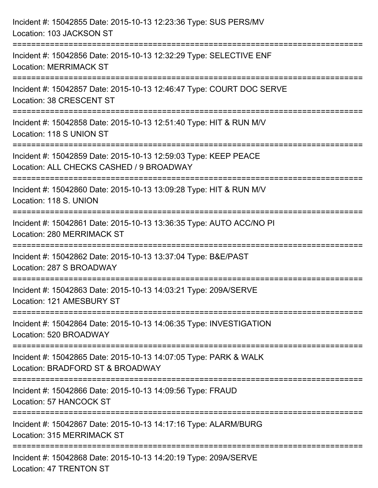| Incident #: 15042855 Date: 2015-10-13 12:23:36 Type: SUS PERS/MV<br>Location: 103 JACKSON ST                                                                                      |
|-----------------------------------------------------------------------------------------------------------------------------------------------------------------------------------|
| :===========================<br>Incident #: 15042856 Date: 2015-10-13 12:32:29 Type: SELECTIVE ENF<br><b>Location: MERRIMACK ST</b>                                               |
| Incident #: 15042857 Date: 2015-10-13 12:46:47 Type: COURT DOC SERVE<br>Location: 38 CRESCENT ST<br>=============================                                                 |
| Incident #: 15042858 Date: 2015-10-13 12:51:40 Type: HIT & RUN M/V<br>Location: 118 S UNION ST                                                                                    |
| Incident #: 15042859 Date: 2015-10-13 12:59:03 Type: KEEP PEACE<br>Location: ALL CHECKS CASHED / 9 BROADWAY<br>===================================<br>=========================== |
| Incident #: 15042860 Date: 2015-10-13 13:09:28 Type: HIT & RUN M/V<br>Location: 118 S. UNION                                                                                      |
| Incident #: 15042861 Date: 2015-10-13 13:36:35 Type: AUTO ACC/NO PI<br>Location: 280 MERRIMACK ST                                                                                 |
| Incident #: 15042862 Date: 2015-10-13 13:37:04 Type: B&E/PAST<br>Location: 287 S BROADWAY                                                                                         |
| Incident #: 15042863 Date: 2015-10-13 14:03:21 Type: 209A/SERVE<br>Location: 121 AMESBURY ST                                                                                      |
| ========================<br>Incident #: 15042864 Date: 2015-10-13 14:06:35 Type: INVESTIGATION<br>Location: 520 BROADWAY                                                          |
| Incident #: 15042865 Date: 2015-10-13 14:07:05 Type: PARK & WALK<br>Location: BRADFORD ST & BROADWAY                                                                              |
| Incident #: 15042866 Date: 2015-10-13 14:09:56 Type: FRAUD<br>Location: 57 HANCOCK ST                                                                                             |
| Incident #: 15042867 Date: 2015-10-13 14:17:16 Type: ALARM/BURG<br>Location: 315 MERRIMACK ST                                                                                     |
| Incident #: 15042868 Date: 2015-10-13 14:20:19 Type: 209A/SERVE<br>Location: 47 TRENTON ST                                                                                        |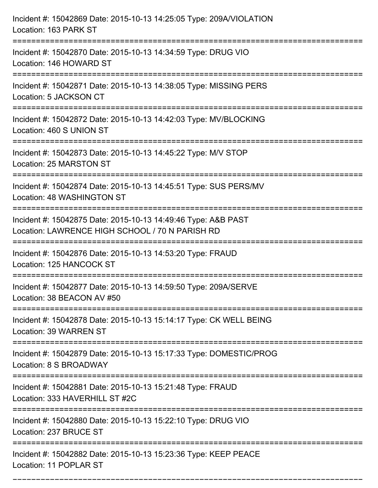| Incident #: 15042869 Date: 2015-10-13 14:25:05 Type: 209A/VIOLATION<br>Location: 163 PARK ST                                                                           |
|------------------------------------------------------------------------------------------------------------------------------------------------------------------------|
| :=====================================<br>Incident #: 15042870 Date: 2015-10-13 14:34:59 Type: DRUG VIO<br>Location: 146 HOWARD ST                                     |
| Incident #: 15042871 Date: 2015-10-13 14:38:05 Type: MISSING PERS<br>Location: 5 JACKSON CT<br>:=======================                                                |
| Incident #: 15042872 Date: 2015-10-13 14:42:03 Type: MV/BLOCKING<br>Location: 460 S UNION ST                                                                           |
| Incident #: 15042873 Date: 2015-10-13 14:45:22 Type: M/V STOP<br>Location: 25 MARSTON ST                                                                               |
| Incident #: 15042874 Date: 2015-10-13 14:45:51 Type: SUS PERS/MV<br>Location: 48 WASHINGTON ST                                                                         |
| Incident #: 15042875 Date: 2015-10-13 14:49:46 Type: A&B PAST<br>Location: LAWRENCE HIGH SCHOOL / 70 N PARISH RD<br>============================<br>================== |
| Incident #: 15042876 Date: 2015-10-13 14:53:20 Type: FRAUD<br>Location: 125 HANCOCK ST                                                                                 |
| Incident #: 15042877 Date: 2015-10-13 14:59:50 Type: 209A/SERVE<br>Location: 38 BEACON AV #50                                                                          |
| Incident #: 15042878 Date: 2015-10-13 15:14:17 Type: CK WELL BEING<br><b>Location: 39 WARREN ST</b><br>:================================                               |
| Incident #: 15042879 Date: 2015-10-13 15:17:33 Type: DOMESTIC/PROG<br>Location: 8 S BROADWAY                                                                           |
| Incident #: 15042881 Date: 2015-10-13 15:21:48 Type: FRAUD<br>Location: 333 HAVERHILL ST #2C                                                                           |
| Incident #: 15042880 Date: 2015-10-13 15:22:10 Type: DRUG VIO<br>Location: 237 BRUCE ST                                                                                |
| Incident #: 15042882 Date: 2015-10-13 15:23:36 Type: KEEP PEACE<br>Location: 11 POPLAR ST                                                                              |

===========================================================================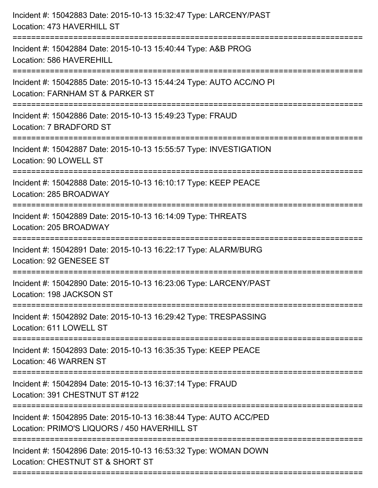| Incident #: 15042883 Date: 2015-10-13 15:32:47 Type: LARCENY/PAST<br>Location: 473 HAVERHILL ST<br>.------------------                      |
|---------------------------------------------------------------------------------------------------------------------------------------------|
| Incident #: 15042884 Date: 2015-10-13 15:40:44 Type: A&B PROG<br>Location: 586 HAVEREHILL                                                   |
| Incident #: 15042885 Date: 2015-10-13 15:44:24 Type: AUTO ACC/NO PI<br>Location: FARNHAM ST & PARKER ST<br>===========================      |
| Incident #: 15042886 Date: 2015-10-13 15:49:23 Type: FRAUD<br>Location: 7 BRADFORD ST                                                       |
| Incident #: 15042887 Date: 2015-10-13 15:55:57 Type: INVESTIGATION<br>Location: 90 LOWELL ST<br>=======================                     |
| Incident #: 15042888 Date: 2015-10-13 16:10:17 Type: KEEP PEACE<br>Location: 285 BROADWAY                                                   |
| Incident #: 15042889 Date: 2015-10-13 16:14:09 Type: THREATS<br>Location: 205 BROADWAY                                                      |
| Incident #: 15042891 Date: 2015-10-13 16:22:17 Type: ALARM/BURG<br>Location: 92 GENESEE ST                                                  |
| Incident #: 15042890 Date: 2015-10-13 16:23:06 Type: LARCENY/PAST<br>Location: 198 JACKSON ST                                               |
| Incident #: 15042892 Date: 2015-10-13 16:29:42 Type: TRESPASSING<br>Location: 611 LOWELL ST                                                 |
| Incident #: 15042893 Date: 2015-10-13 16:35:35 Type: KEEP PEACE<br><b>Location: 46 WARREN ST</b>                                            |
| Incident #: 15042894 Date: 2015-10-13 16:37:14 Type: FRAUD<br>Location: 391 CHESTNUT ST #122                                                |
| Incident #: 15042895 Date: 2015-10-13 16:38:44 Type: AUTO ACC/PED<br>Location: PRIMO'S LIQUORS / 450 HAVERHILL ST                           |
| ------------------------------------<br>Incident #: 15042896 Date: 2015-10-13 16:53:32 Type: WOMAN DOWN<br>Location: CHESTNUT ST & SHORT ST |
|                                                                                                                                             |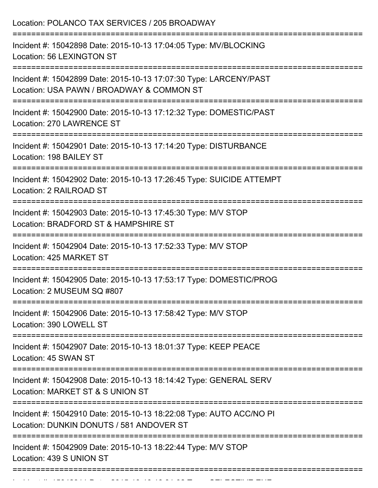| Incident #: 15042898 Date: 2015-10-13 17:04:05 Type: MV/BLOCKING<br>Location: 56 LEXINGTON ST                                              |
|--------------------------------------------------------------------------------------------------------------------------------------------|
| Incident #: 15042899 Date: 2015-10-13 17:07:30 Type: LARCENY/PAST<br>Location: USA PAWN / BROADWAY & COMMON ST<br>:======================= |
| Incident #: 15042900 Date: 2015-10-13 17:12:32 Type: DOMESTIC/PAST<br>Location: 270 LAWRENCE ST<br>================================        |
| Incident #: 15042901 Date: 2015-10-13 17:14:20 Type: DISTURBANCE<br>Location: 198 BAILEY ST                                                |
| Incident #: 15042902 Date: 2015-10-13 17:26:45 Type: SUICIDE ATTEMPT<br>Location: 2 RAILROAD ST                                            |
| Incident #: 15042903 Date: 2015-10-13 17:45:30 Type: M/V STOP<br>Location: BRADFORD ST & HAMPSHIRE ST                                      |
| Incident #: 15042904 Date: 2015-10-13 17:52:33 Type: M/V STOP<br>Location: 425 MARKET ST                                                   |
| Incident #: 15042905 Date: 2015-10-13 17:53:17 Type: DOMESTIC/PROG<br>Location: 2 MUSEUM SQ #807                                           |
| Incident #: 15042906 Date: 2015-10-13 17:58:42 Type: M/V STOP<br>Location: 390 LOWELL ST                                                   |
| Incident #: 15042907 Date: 2015-10-13 18:01:37 Type: KEEP PEACE<br>Location: 45 SWAN ST                                                    |
| Incident #: 15042908 Date: 2015-10-13 18:14:42 Type: GENERAL SERV<br>Location: MARKET ST & S UNION ST                                      |
| Incident #: 15042910 Date: 2015-10-13 18:22:08 Type: AUTO ACC/NO PI<br>Location: DUNKIN DONUTS / 581 ANDOVER ST                            |
| Incident #: 15042909 Date: 2015-10-13 18:22:44 Type: M/V STOP<br>Location: 439 S UNION ST                                                  |

Incident #: 15042911 Date: 2015 10 13 18:31:02 Type: SELECTIVE ENF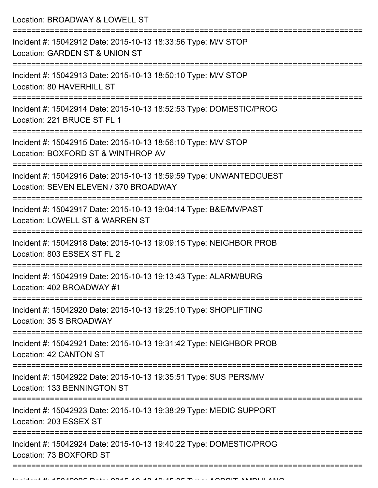| Location: BROADWAY & LOWELL ST                                                                                                    |
|-----------------------------------------------------------------------------------------------------------------------------------|
| Incident #: 15042912 Date: 2015-10-13 18:33:56 Type: M/V STOP<br>Location: GARDEN ST & UNION ST                                   |
| Incident #: 15042913 Date: 2015-10-13 18:50:10 Type: M/V STOP<br>Location: 80 HAVERHILL ST<br>=================================== |
| Incident #: 15042914 Date: 2015-10-13 18:52:53 Type: DOMESTIC/PROG<br>Location: 221 BRUCE ST FL 1                                 |
| Incident #: 15042915 Date: 2015-10-13 18:56:10 Type: M/V STOP<br>Location: BOXFORD ST & WINTHROP AV<br>=========================  |
| Incident #: 15042916 Date: 2015-10-13 18:59:59 Type: UNWANTEDGUEST<br>Location: SEVEN ELEVEN / 370 BROADWAY                       |
| Incident #: 15042917 Date: 2015-10-13 19:04:14 Type: B&E/MV/PAST<br>Location: LOWELL ST & WARREN ST                               |
| Incident #: 15042918 Date: 2015-10-13 19:09:15 Type: NEIGHBOR PROB<br>Location: 803 ESSEX ST FL 2                                 |
| Incident #: 15042919 Date: 2015-10-13 19:13:43 Type: ALARM/BURG<br>Location: 402 BROADWAY #1                                      |
| Incident #: 15042920 Date: 2015-10-13 19:25:10 Type: SHOPLIFTING<br>Location: 35 S BROADWAY                                       |
| Incident #: 15042921 Date: 2015-10-13 19:31:42 Type: NEIGHBOR PROB<br>Location: 42 CANTON ST                                      |
| Incident #: 15042922 Date: 2015-10-13 19:35:51 Type: SUS PERS/MV<br>Location: 133 BENNINGTON ST                                   |
| Incident #: 15042923 Date: 2015-10-13 19:38:29 Type: MEDIC SUPPORT<br>Location: 203 ESSEX ST                                      |
| Incident #: 15042924 Date: 2015-10-13 19:40:22 Type: DOMESTIC/PROG<br>Location: 73 BOXFORD ST                                     |
|                                                                                                                                   |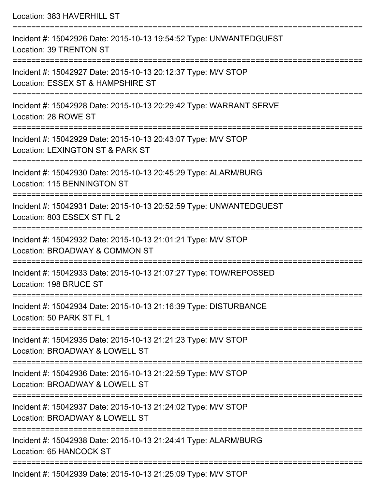| Location: 383 HAVERHILL ST                                                                                                        |
|-----------------------------------------------------------------------------------------------------------------------------------|
| Incident #: 15042926 Date: 2015-10-13 19:54:52 Type: UNWANTEDGUEST<br><b>Location: 39 TRENTON ST</b><br>==============            |
| Incident #: 15042927 Date: 2015-10-13 20:12:37 Type: M/V STOP<br>Location: ESSEX ST & HAMPSHIRE ST                                |
| Incident #: 15042928 Date: 2015-10-13 20:29:42 Type: WARRANT SERVE<br>Location: 28 ROWE ST<br>:================================== |
| Incident #: 15042929 Date: 2015-10-13 20:43:07 Type: M/V STOP<br>Location: LEXINGTON ST & PARK ST                                 |
| Incident #: 15042930 Date: 2015-10-13 20:45:29 Type: ALARM/BURG<br>Location: 115 BENNINGTON ST                                    |
| Incident #: 15042931 Date: 2015-10-13 20:52:59 Type: UNWANTEDGUEST<br>Location: 803 ESSEX ST FL 2                                 |
| Incident #: 15042932 Date: 2015-10-13 21:01:21 Type: M/V STOP<br>Location: BROADWAY & COMMON ST                                   |
| Incident #: 15042933 Date: 2015-10-13 21:07:27 Type: TOW/REPOSSED<br>Location: 198 BRUCE ST                                       |
| Incident #: 15042934 Date: 2015-10-13 21:16:39 Type: DISTURBANCE<br>Location: 50 PARK ST FL 1                                     |
| Incident #: 15042935 Date: 2015-10-13 21:21:23 Type: M/V STOP<br>Location: BROADWAY & LOWELL ST                                   |
| Incident #: 15042936 Date: 2015-10-13 21:22:59 Type: M/V STOP<br>Location: BROADWAY & LOWELL ST                                   |
| Incident #: 15042937 Date: 2015-10-13 21:24:02 Type: M/V STOP<br>Location: BROADWAY & LOWELL ST                                   |
| Incident #: 15042938 Date: 2015-10-13 21:24:41 Type: ALARM/BURG<br>Location: 65 HANCOCK ST                                        |
|                                                                                                                                   |

Incident #: 15042939 Date: 2015-10-13 21:25:09 Type: M/V STOP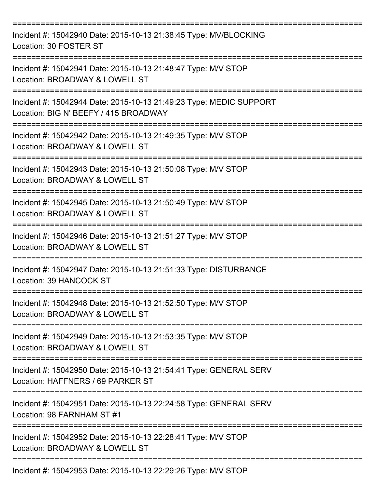| Incident #: 15042940 Date: 2015-10-13 21:38:45 Type: MV/BLOCKING<br>Location: 30 FOSTER ST                  |
|-------------------------------------------------------------------------------------------------------------|
| Incident #: 15042941 Date: 2015-10-13 21:48:47 Type: M/V STOP<br>Location: BROADWAY & LOWELL ST             |
| Incident #: 15042944 Date: 2015-10-13 21:49:23 Type: MEDIC SUPPORT<br>Location: BIG N' BEEFY / 415 BROADWAY |
| Incident #: 15042942 Date: 2015-10-13 21:49:35 Type: M/V STOP<br>Location: BROADWAY & LOWELL ST             |
| Incident #: 15042943 Date: 2015-10-13 21:50:08 Type: M/V STOP<br>Location: BROADWAY & LOWELL ST             |
| Incident #: 15042945 Date: 2015-10-13 21:50:49 Type: M/V STOP<br>Location: BROADWAY & LOWELL ST             |
| Incident #: 15042946 Date: 2015-10-13 21:51:27 Type: M/V STOP<br>Location: BROADWAY & LOWELL ST             |
| Incident #: 15042947 Date: 2015-10-13 21:51:33 Type: DISTURBANCE<br>Location: 39 HANCOCK ST                 |
| Incident #: 15042948 Date: 2015-10-13 21:52:50 Type: M/V STOP<br>Location: BROADWAY & LOWELL ST             |
| Incident #: 15042949 Date: 2015-10-13 21:53:35 Type: M/V STOP<br>Location: BROADWAY & LOWELL ST             |
| Incident #: 15042950 Date: 2015-10-13 21:54:41 Type: GENERAL SERV<br>Location: HAFFNERS / 69 PARKER ST      |
| Incident #: 15042951 Date: 2015-10-13 22:24:58 Type: GENERAL SERV<br>Location: 98 FARNHAM ST #1             |
| Incident #: 15042952 Date: 2015-10-13 22:28:41 Type: M/V STOP<br>Location: BROADWAY & LOWELL ST             |
| Incident #: 15042953 Date: 2015-10-13 22:29:26 Type: M/V STOP                                               |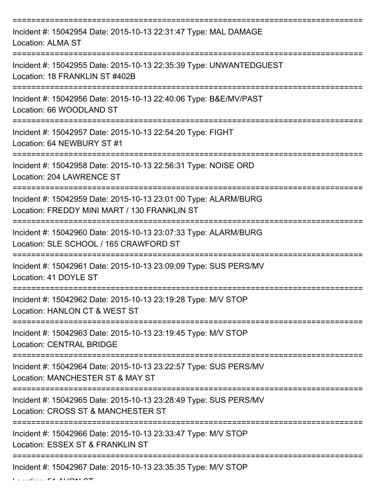| Incident #: 15042954 Date: 2015-10-13 22:31:47 Type: MAL DAMAGE<br><b>Location: ALMA ST</b>                     |
|-----------------------------------------------------------------------------------------------------------------|
| Incident #: 15042955 Date: 2015-10-13 22:35:39 Type: UNWANTEDGUEST<br>Location: 18 FRANKLIN ST #402B            |
| Incident #: 15042956 Date: 2015-10-13 22:40:06 Type: B&E/MV/PAST<br>Location: 66 WOODLAND ST                    |
| Incident #: 15042957 Date: 2015-10-13 22:54:20 Type: FIGHT<br>Location: 64 NEWBURY ST #1                        |
| Incident #: 15042958 Date: 2015-10-13 22:56:31 Type: NOISE ORD<br>Location: 204 LAWRENCE ST                     |
| Incident #: 15042959 Date: 2015-10-13 23:01:00 Type: ALARM/BURG<br>Location: FREDDY MINI MART / 130 FRANKLIN ST |
| Incident #: 15042960 Date: 2015-10-13 23:07:33 Type: ALARM/BURG<br>Location: SLE SCHOOL / 165 CRAWFORD ST       |
| Incident #: 15042961 Date: 2015-10-13 23:09:09 Type: SUS PERS/MV<br>Location: 41 DOYLE ST                       |
| Incident #: 15042962 Date: 2015-10-13 23:19:28 Type: M/V STOP<br>Location: HANLON CT & WEST ST                  |
| Incident #: 15042963 Date: 2015-10-13 23:19:45 Type: M/V STOP<br><b>Location: CENTRAL BRIDGE</b>                |
| Incident #: 15042964 Date: 2015-10-13 23:22:57 Type: SUS PERS/MV<br>Location: MANCHESTER ST & MAY ST            |
| Incident #: 15042965 Date: 2015-10-13 23:28:49 Type: SUS PERS/MV<br>Location: CROSS ST & MANCHESTER ST          |
| Incident #: 15042966 Date: 2015-10-13 23:33:47 Type: M/V STOP<br>Location: ESSEX ST & FRANKLIN ST               |
| Incident #: 15042967 Date: 2015-10-13 23:35:35 Type: M/V STOP                                                   |